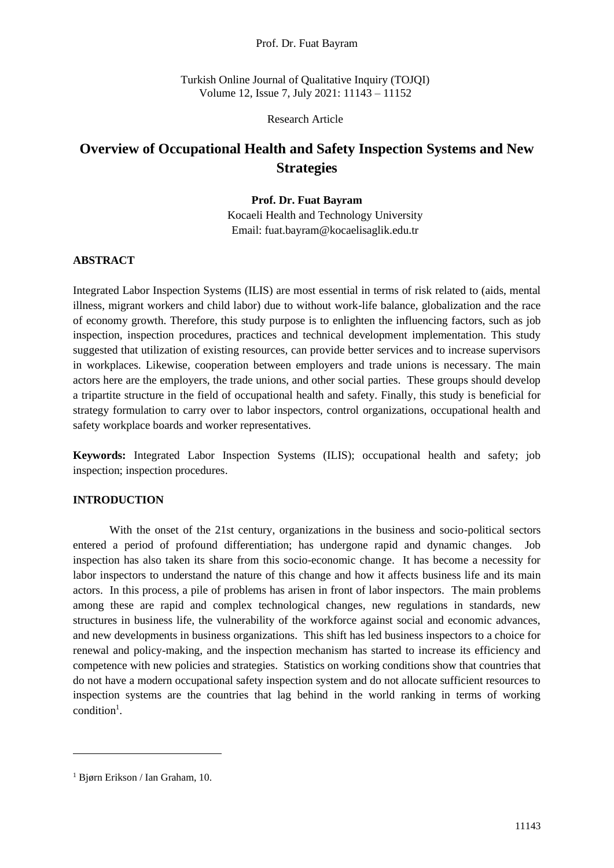### Prof. Dr. Fuat Bayram

Turkish Online Journal of Qualitative Inquiry (TOJQI) Volume 12, Issue 7, July 2021: 11143 – 11152

Research Article

# **Overview of Occupational Health and Safety Inspection Systems and New Strategies**

# **Prof. Dr. Fuat Bayram**

Kocaeli Health and Technology University Email: fuat.bayram@kocaelisaglik.edu.tr

# **ABSTRACT**

Integrated Labor Inspection Systems (ILIS) are most essential in terms of risk related to (aids, mental illness, migrant workers and child labor) due to without work-life balance, globalization and the race of economy growth. Therefore, this study purpose is to enlighten the influencing factors, such as job inspection, inspection procedures, practices and technical development implementation. This study suggested that utilization of existing resources, can provide better services and to increase supervisors in workplaces. Likewise, cooperation between employers and trade unions is necessary. The main actors here are the employers, the trade unions, and other social parties. These groups should develop a tripartite structure in the field of occupational health and safety. Finally, this study is beneficial for strategy formulation to carry over to labor inspectors, control organizations, occupational health and safety workplace boards and worker representatives.

**Keywords:** Integrated Labor Inspection Systems (ILIS); occupational health and safety; job inspection; inspection procedures.

## **INTRODUCTION**

With the onset of the 21st century, organizations in the business and socio-political sectors entered a period of profound differentiation; has undergone rapid and dynamic changes. Job inspection has also taken its share from this socio-economic change. It has become a necessity for labor inspectors to understand the nature of this change and how it affects business life and its main actors. In this process, a pile of problems has arisen in front of labor inspectors. The main problems among these are rapid and complex technological changes, new regulations in standards, new structures in business life, the vulnerability of the workforce against social and economic advances, and new developments in business organizations. This shift has led business inspectors to a choice for renewal and policy-making, and the inspection mechanism has started to increase its efficiency and competence with new policies and strategies. Statistics on working conditions show that countries that do not have a modern occupational safety inspection system and do not allocate sufficient resources to inspection systems are the countries that lag behind in the world ranking in terms of working condition 1 .

<sup>1</sup> Bjørn Erikson / Ian Graham, 10.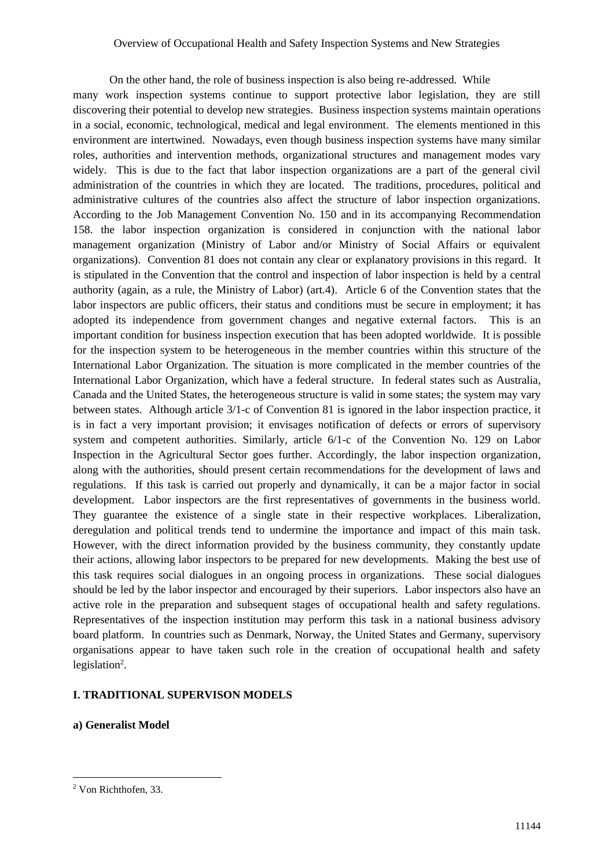On the other hand, the role of business inspection is also being re-addressed. While many work inspection systems continue to support protective labor legislation, they are still discovering their potential to develop new strategies. Business inspection systems maintain operations in a social, economic, technological, medical and legal environment. The elements mentioned in this environment are intertwined. Nowadays, even though business inspection systems have many similar roles, authorities and intervention methods, organizational structures and management modes vary widely. This is due to the fact that labor inspection organizations are a part of the general civil administration of the countries in which they are located. The traditions, procedures, political and administrative cultures of the countries also affect the structure of labor inspection organizations. According to the Job Management Convention No. 150 and in its accompanying Recommendation 158. the labor inspection organization is considered in conjunction with the national labor management organization (Ministry of Labor and/or Ministry of Social Affairs or equivalent organizations). Convention 81 does not contain any clear or explanatory provisions in this regard. It is stipulated in the Convention that the control and inspection of labor inspection is held by a central authority (again, as a rule, the Ministry of Labor) (art.4). Article 6 of the Convention states that the labor inspectors are public officers, their status and conditions must be secure in employment; it has adopted its independence from government changes and negative external factors. This is an important condition for business inspection execution that has been adopted worldwide. It is possible for the inspection system to be heterogeneous in the member countries within this structure of the International Labor Organization. The situation is more complicated in the member countries of the International Labor Organization, which have a federal structure. In federal states such as Australia, Canada and the United States, the heterogeneous structure is valid in some states; the system may vary between states. Although article 3/1-c of Convention 81 is ignored in the labor inspection practice, it is in fact a very important provision; it envisages notification of defects or errors of supervisory system and competent authorities. Similarly, article 6/1-c of the Convention No. 129 on Labor Inspection in the Agricultural Sector goes further. Accordingly, the labor inspection organization, along with the authorities, should present certain recommendations for the development of laws and regulations. If this task is carried out properly and dynamically, it can be a major factor in social development. Labor inspectors are the first representatives of governments in the business world. They guarantee the existence of a single state in their respective workplaces. Liberalization, deregulation and political trends tend to undermine the importance and impact of this main task. However, with the direct information provided by the business community, they constantly update their actions, allowing labor inspectors to be prepared for new developments. Making the best use of this task requires social dialogues in an ongoing process in organizations. These social dialogues should be led by the labor inspector and encouraged by their superiors. Labor inspectors also have an active role in the preparation and subsequent stages of occupational health and safety regulations. Representatives of the inspection institution may perform this task in a national business advisory board platform. In countries such as Denmark, Norway, the United States and Germany, supervisory organisations appear to have taken such role in the creation of occupational health and safety legislation<sup>2</sup>.

# **I. TRADITIONAL SUPERVISON MODELS**

**a) Generalist Model**

<sup>2</sup> Von Richthofen, 33.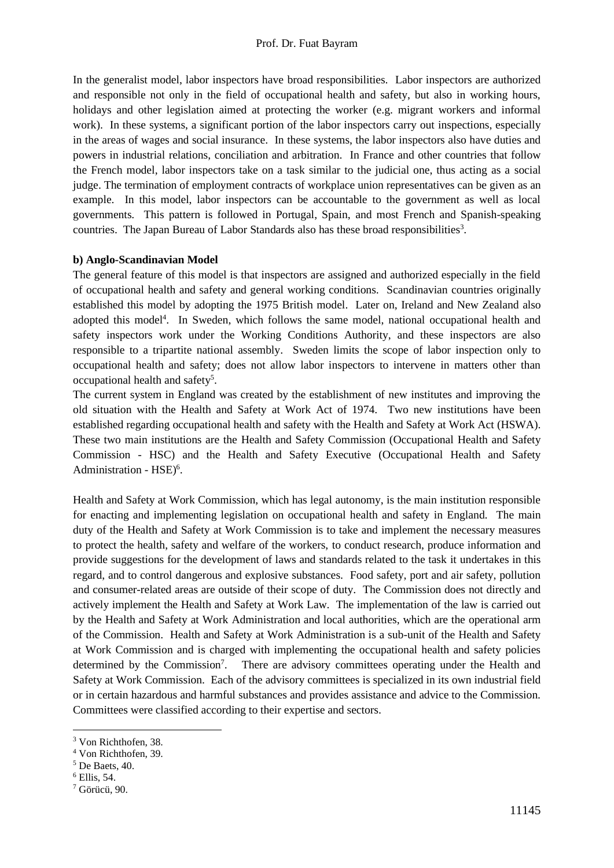In the generalist model, labor inspectors have broad responsibilities. Labor inspectors are authorized and responsible not only in the field of occupational health and safety, but also in working hours, holidays and other legislation aimed at protecting the worker (e.g. migrant workers and informal work). In these systems, a significant portion of the labor inspectors carry out inspections, especially in the areas of wages and social insurance. In these systems, the labor inspectors also have duties and powers in industrial relations, conciliation and arbitration. In France and other countries that follow the French model, labor inspectors take on a task similar to the judicial one, thus acting as a social judge. The termination of employment contracts of workplace union representatives can be given as an example. In this model, labor inspectors can be accountable to the government as well as local governments. This pattern is followed in Portugal, Spain, and most French and Spanish-speaking countries. The Japan Bureau of Labor Standards also has these broad responsibilities<sup>3</sup>.

#### **b) Anglo-Scandinavian Model**

The general feature of this model is that inspectors are assigned and authorized especially in the field of occupational health and safety and general working conditions. Scandinavian countries originally established this model by adopting the 1975 British model. Later on, Ireland and New Zealand also adopted this model<sup>4</sup>. In Sweden, which follows the same model, national occupational health and safety inspectors work under the Working Conditions Authority, and these inspectors are also responsible to a tripartite national assembly. Sweden limits the scope of labor inspection only to occupational health and safety; does not allow labor inspectors to intervene in matters other than occupational health and safety<sup>5</sup>.

The current system in England was created by the establishment of new institutes and improving the old situation with the Health and Safety at Work Act of 1974. Two new institutions have been established regarding occupational health and safety with the Health and Safety at Work Act (HSWA). These two main institutions are the Health and Safety Commission (Occupational Health and Safety Commission - HSC) and the Health and Safety Executive (Occupational Health and Safety Administration - HSE)<sup>6</sup>.

Health and Safety at Work Commission, which has legal autonomy, is the main institution responsible for enacting and implementing legislation on occupational health and safety in England. The main duty of the Health and Safety at Work Commission is to take and implement the necessary measures to protect the health, safety and welfare of the workers, to conduct research, produce information and provide suggestions for the development of laws and standards related to the task it undertakes in this regard, and to control dangerous and explosive substances. Food safety, port and air safety, pollution and consumer-related areas are outside of their scope of duty. The Commission does not directly and actively implement the Health and Safety at Work Law. The implementation of the law is carried out by the Health and Safety at Work Administration and local authorities, which are the operational arm of the Commission. Health and Safety at Work Administration is a sub-unit of the Health and Safety at Work Commission and is charged with implementing the occupational health and safety policies determined by the Commission<sup>7</sup>. There are advisory committees operating under the Health and Safety at Work Commission. Each of the advisory committees is specialized in its own industrial field or in certain hazardous and harmful substances and provides assistance and advice to the Commission. Committees were classified according to their expertise and sectors.

<sup>3</sup> Von Richthofen, 38.

<sup>4</sup> Von Richthofen, 39.

<sup>5</sup> De Baets, 40.

<sup>6</sup> Ellis, 54.

<sup>7</sup> Görücü, 90.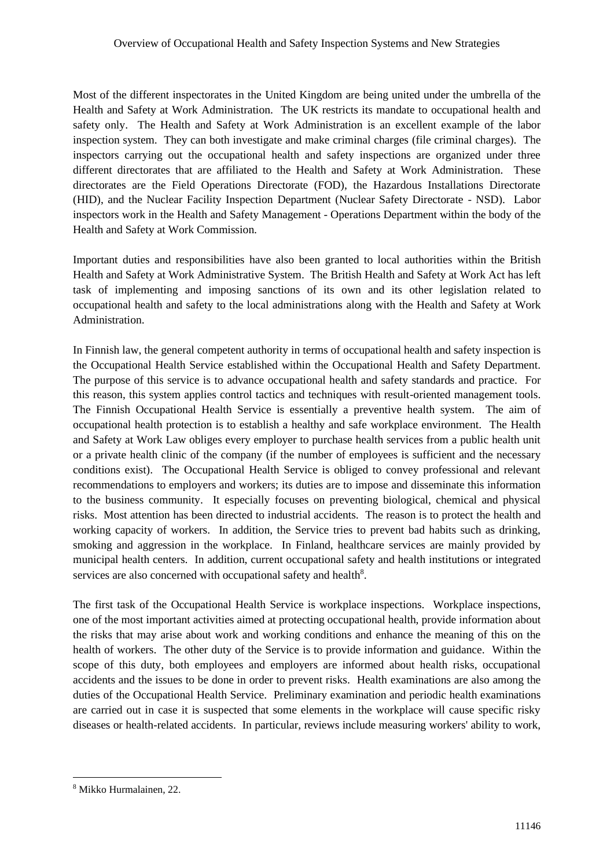Most of the different inspectorates in the United Kingdom are being united under the umbrella of the Health and Safety at Work Administration. The UK restricts its mandate to occupational health and safety only. The Health and Safety at Work Administration is an excellent example of the labor inspection system. They can both investigate and make criminal charges (file criminal charges). The inspectors carrying out the occupational health and safety inspections are organized under three different directorates that are affiliated to the Health and Safety at Work Administration. These directorates are the Field Operations Directorate (FOD), the Hazardous Installations Directorate (HID), and the Nuclear Facility Inspection Department (Nuclear Safety Directorate - NSD). Labor inspectors work in the Health and Safety Management - Operations Department within the body of the Health and Safety at Work Commission.

Important duties and responsibilities have also been granted to local authorities within the British Health and Safety at Work Administrative System. The British Health and Safety at Work Act has left task of implementing and imposing sanctions of its own and its other legislation related to occupational health and safety to the local administrations along with the Health and Safety at Work Administration.

In Finnish law, the general competent authority in terms of occupational health and safety inspection is the Occupational Health Service established within the Occupational Health and Safety Department. The purpose of this service is to advance occupational health and safety standards and practice. For this reason, this system applies control tactics and techniques with result-oriented management tools. The Finnish Occupational Health Service is essentially a preventive health system. The aim of occupational health protection is to establish a healthy and safe workplace environment. The Health and Safety at Work Law obliges every employer to purchase health services from a public health unit or a private health clinic of the company (if the number of employees is sufficient and the necessary conditions exist). The Occupational Health Service is obliged to convey professional and relevant recommendations to employers and workers; its duties are to impose and disseminate this information to the business community. It especially focuses on preventing biological, chemical and physical risks. Most attention has been directed to industrial accidents. The reason is to protect the health and working capacity of workers. In addition, the Service tries to prevent bad habits such as drinking, smoking and aggression in the workplace. In Finland, healthcare services are mainly provided by municipal health centers. In addition, current occupational safety and health institutions or integrated services are also concerned with occupational safety and health<sup>8</sup>.

The first task of the Occupational Health Service is workplace inspections. Workplace inspections, one of the most important activities aimed at protecting occupational health, provide information about the risks that may arise about work and working conditions and enhance the meaning of this on the health of workers. The other duty of the Service is to provide information and guidance. Within the scope of this duty, both employees and employers are informed about health risks, occupational accidents and the issues to be done in order to prevent risks. Health examinations are also among the duties of the Occupational Health Service. Preliminary examination and periodic health examinations are carried out in case it is suspected that some elements in the workplace will cause specific risky diseases or health-related accidents. In particular, reviews include measuring workers' ability to work,

<sup>8</sup> Mikko Hurmalainen, 22.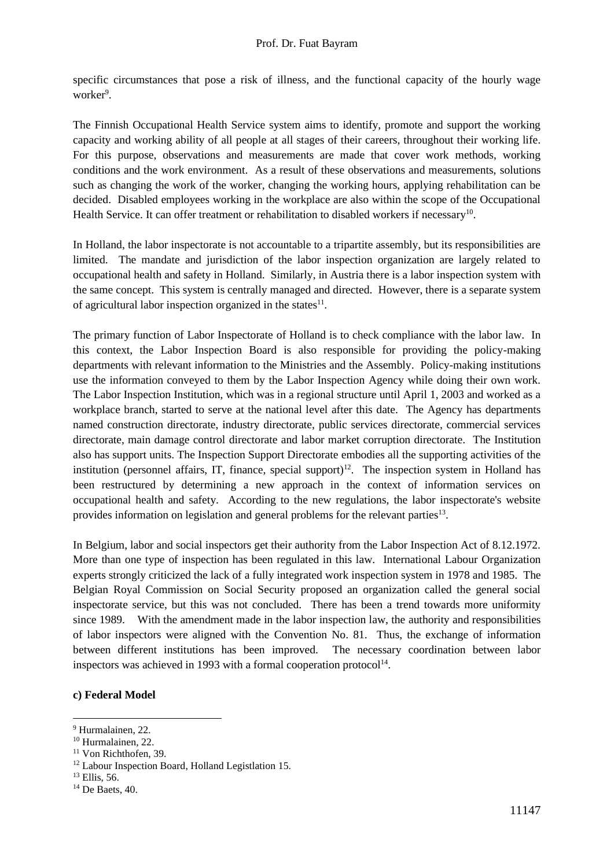specific circumstances that pose a risk of illness, and the functional capacity of the hourly wage worker<sup>9</sup>.

The Finnish Occupational Health Service system aims to identify, promote and support the working capacity and working ability of all people at all stages of their careers, throughout their working life. For this purpose, observations and measurements are made that cover work methods, working conditions and the work environment. As a result of these observations and measurements, solutions such as changing the work of the worker, changing the working hours, applying rehabilitation can be decided. Disabled employees working in the workplace are also within the scope of the Occupational Health Service. It can offer treatment or rehabilitation to disabled workers if necessary<sup>10</sup>.

In Holland, the labor inspectorate is not accountable to a tripartite assembly, but its responsibilities are limited. The mandate and jurisdiction of the labor inspection organization are largely related to occupational health and safety in Holland. Similarly, in Austria there is a labor inspection system with the same concept. This system is centrally managed and directed. However, there is a separate system of agricultural labor inspection organized in the states $^{11}$ .

The primary function of Labor Inspectorate of Holland is to check compliance with the labor law. In this context, the Labor Inspection Board is also responsible for providing the policy-making departments with relevant information to the Ministries and the Assembly. Policy-making institutions use the information conveyed to them by the Labor Inspection Agency while doing their own work. The Labor Inspection Institution, which was in a regional structure until April 1, 2003 and worked as a workplace branch, started to serve at the national level after this date. The Agency has departments named construction directorate, industry directorate, public services directorate, commercial services directorate, main damage control directorate and labor market corruption directorate. The Institution also has support units. The Inspection Support Directorate embodies all the supporting activities of the institution (personnel affairs, IT, finance, special support)<sup>12</sup>. The inspection system in Holland has been restructured by determining a new approach in the context of information services on occupational health and safety. According to the new regulations, the labor inspectorate's website provides information on legislation and general problems for the relevant parties<sup>13</sup>.

In Belgium, labor and social inspectors get their authority from the Labor Inspection Act of 8.12.1972. More than one type of inspection has been regulated in this law. International Labour Organization experts strongly criticized the lack of a fully integrated work inspection system in 1978 and 1985. The Belgian Royal Commission on Social Security proposed an organization called the general social inspectorate service, but this was not concluded. There has been a trend towards more uniformity since 1989. With the amendment made in the labor inspection law, the authority and responsibilities of labor inspectors were aligned with the Convention No. 81. Thus, the exchange of information between different institutions has been improved. The necessary coordination between labor inspectors was achieved in 1993 with a formal cooperation protocol $14$ .

## **c) Federal Model**

<sup>9</sup> Hurmalainen, 22.

<sup>10</sup> Hurmalainen, 22.

<sup>&</sup>lt;sup>11</sup> Von Richthofen, 39.

<sup>&</sup>lt;sup>12</sup> Labour Inspection Board, Holland Legistlation 15.

<sup>13</sup> Ellis, 56.

<sup>14</sup> De Baets, 40.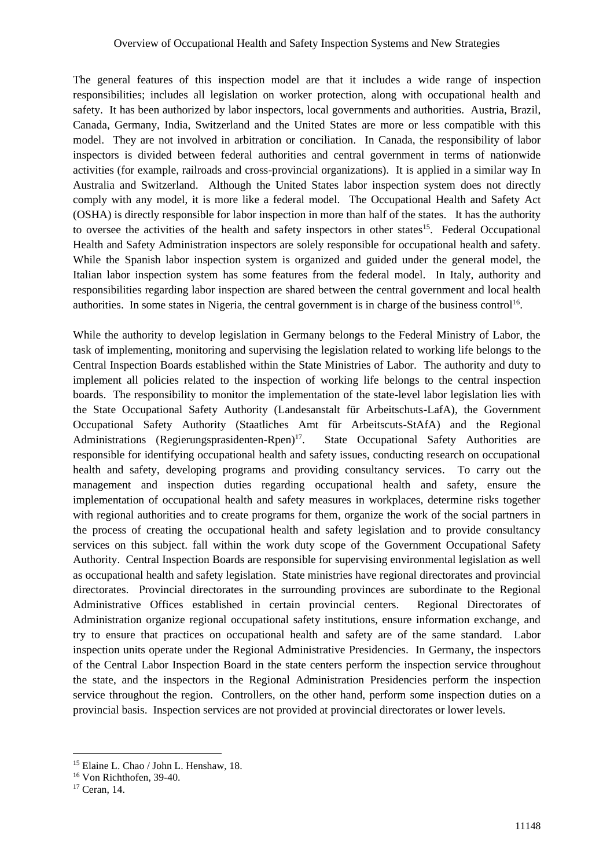The general features of this inspection model are that it includes a wide range of inspection responsibilities; includes all legislation on worker protection, along with occupational health and safety. It has been authorized by labor inspectors, local governments and authorities. Austria, Brazil, Canada, Germany, India, Switzerland and the United States are more or less compatible with this model. They are not involved in arbitration or conciliation. In Canada, the responsibility of labor inspectors is divided between federal authorities and central government in terms of nationwide activities (for example, railroads and cross-provincial organizations). It is applied in a similar way In Australia and Switzerland. Although the United States labor inspection system does not directly comply with any model, it is more like a federal model. The Occupational Health and Safety Act (OSHA) is directly responsible for labor inspection in more than half of the states. It has the authority to oversee the activities of the health and safety inspectors in other states<sup>15</sup>. Federal Occupational Health and Safety Administration inspectors are solely responsible for occupational health and safety. While the Spanish labor inspection system is organized and guided under the general model, the Italian labor inspection system has some features from the federal model. In Italy, authority and responsibilities regarding labor inspection are shared between the central government and local health authorities. In some states in Nigeria, the central government is in charge of the business control<sup>16</sup>.

While the authority to develop legislation in Germany belongs to the Federal Ministry of Labor, the task of implementing, monitoring and supervising the legislation related to working life belongs to the Central Inspection Boards established within the State Ministries of Labor. The authority and duty to implement all policies related to the inspection of working life belongs to the central inspection boards. The responsibility to monitor the implementation of the state-level labor legislation lies with the State Occupational Safety Authority (Landesanstalt für Arbeitschuts-LafA), the Government Occupational Safety Authority (Staatliches Amt für Arbeitscuts-StAfA) and the Regional Administrations (Regierungsprasidenten-Rpen) $17$ . . State Occupational Safety Authorities are responsible for identifying occupational health and safety issues, conducting research on occupational health and safety, developing programs and providing consultancy services. To carry out the management and inspection duties regarding occupational health and safety, ensure the implementation of occupational health and safety measures in workplaces, determine risks together with regional authorities and to create programs for them, organize the work of the social partners in the process of creating the occupational health and safety legislation and to provide consultancy services on this subject. fall within the work duty scope of the Government Occupational Safety Authority. Central Inspection Boards are responsible for supervising environmental legislation as well as occupational health and safety legislation. State ministries have regional directorates and provincial directorates. Provincial directorates in the surrounding provinces are subordinate to the Regional Administrative Offices established in certain provincial centers. Regional Directorates of Administration organize regional occupational safety institutions, ensure information exchange, and try to ensure that practices on occupational health and safety are of the same standard. Labor inspection units operate under the Regional Administrative Presidencies. In Germany, the inspectors of the Central Labor Inspection Board in the state centers perform the inspection service throughout the state, and the inspectors in the Regional Administration Presidencies perform the inspection service throughout the region. Controllers, on the other hand, perform some inspection duties on a provincial basis. Inspection services are not provided at provincial directorates or lower levels.

<sup>15</sup> Elaine L. Chao / John L. Henshaw, 18.

<sup>16</sup> Von Richthofen, 39-40.

<sup>17</sup> Ceran, 14.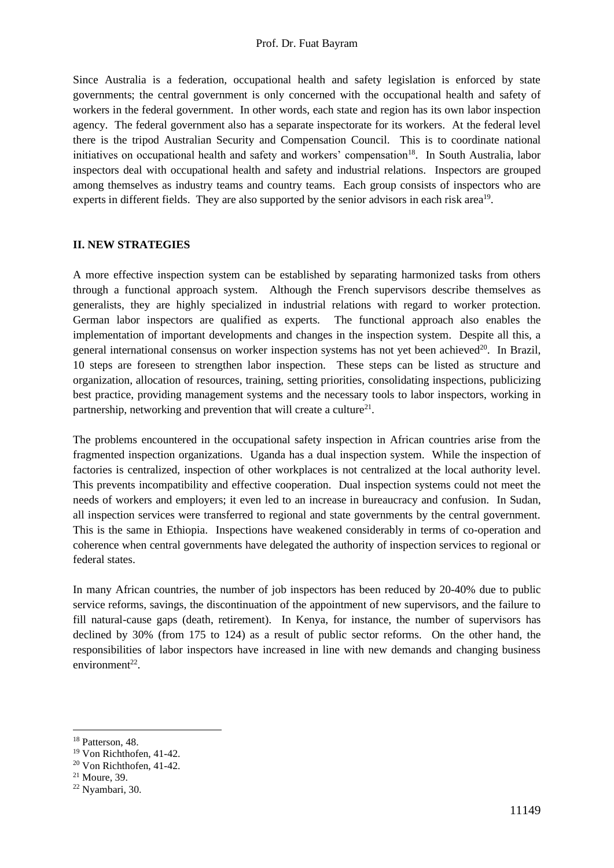## Prof. Dr. Fuat Bayram

Since Australia is a federation, occupational health and safety legislation is enforced by state governments; the central government is only concerned with the occupational health and safety of workers in the federal government. In other words, each state and region has its own labor inspection agency. The federal government also has a separate inspectorate for its workers. At the federal level there is the tripod Australian Security and Compensation Council. This is to coordinate national initiatives on occupational health and safety and workers' compensation<sup>18</sup>. In South Australia, labor inspectors deal with occupational health and safety and industrial relations. Inspectors are grouped among themselves as industry teams and country teams. Each group consists of inspectors who are experts in different fields. They are also supported by the senior advisors in each risk area<sup>19</sup>.

## **II. NEW STRATEGIES**

A more effective inspection system can be established by separating harmonized tasks from others through a functional approach system. Although the French supervisors describe themselves as generalists, they are highly specialized in industrial relations with regard to worker protection. German labor inspectors are qualified as experts. The functional approach also enables the implementation of important developments and changes in the inspection system. Despite all this, a general international consensus on worker inspection systems has not yet been achieved $20$ . In Brazil, 10 steps are foreseen to strengthen labor inspection. These steps can be listed as structure and organization, allocation of resources, training, setting priorities, consolidating inspections, publicizing best practice, providing management systems and the necessary tools to labor inspectors, working in partnership, networking and prevention that will create a culture<sup>21</sup>.

The problems encountered in the occupational safety inspection in African countries arise from the fragmented inspection organizations. Uganda has a dual inspection system. While the inspection of factories is centralized, inspection of other workplaces is not centralized at the local authority level. This prevents incompatibility and effective cooperation. Dual inspection systems could not meet the needs of workers and employers; it even led to an increase in bureaucracy and confusion. In Sudan, all inspection services were transferred to regional and state governments by the central government. This is the same in Ethiopia. Inspections have weakened considerably in terms of co-operation and coherence when central governments have delegated the authority of inspection services to regional or federal states.

In many African countries, the number of job inspectors has been reduced by 20-40% due to public service reforms, savings, the discontinuation of the appointment of new supervisors, and the failure to fill natural-cause gaps (death, retirement). In Kenya, for instance, the number of supervisors has declined by 30% (from 175 to 124) as a result of public sector reforms. On the other hand, the responsibilities of labor inspectors have increased in line with new demands and changing business  $environment<sup>22</sup>$ .

<sup>&</sup>lt;sup>18</sup> Patterson, 48.

<sup>19</sup> Von Richthofen, 41-42.

<sup>20</sup> Von Richthofen, 41-42.

<sup>21</sup> Moure, 39.

<sup>22</sup> Nyambari, 30.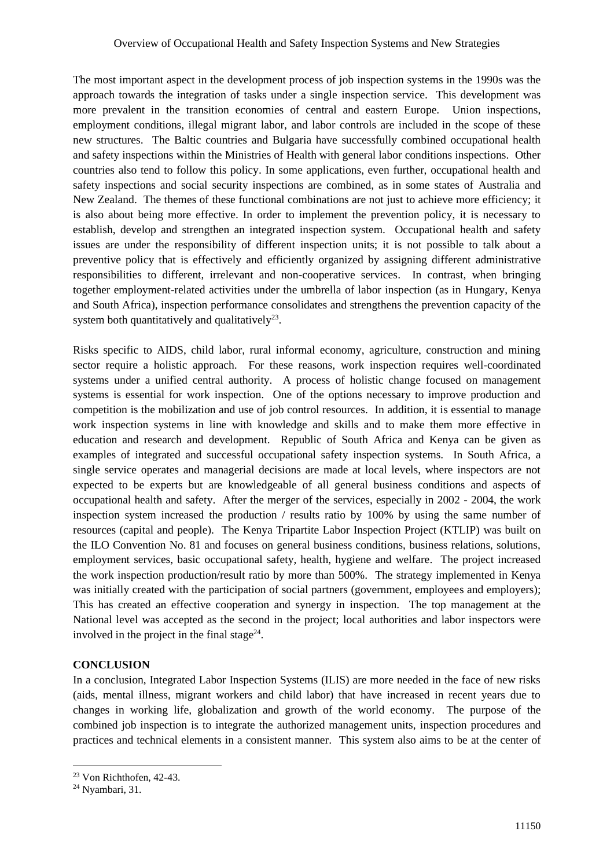The most important aspect in the development process of job inspection systems in the 1990s was the approach towards the integration of tasks under a single inspection service. This development was more prevalent in the transition economies of central and eastern Europe. Union inspections, employment conditions, illegal migrant labor, and labor controls are included in the scope of these new structures. The Baltic countries and Bulgaria have successfully combined occupational health and safety inspections within the Ministries of Health with general labor conditions inspections. Other countries also tend to follow this policy. In some applications, even further, occupational health and safety inspections and social security inspections are combined, as in some states of Australia and New Zealand. The themes of these functional combinations are not just to achieve more efficiency; it is also about being more effective. In order to implement the prevention policy, it is necessary to establish, develop and strengthen an integrated inspection system. Occupational health and safety issues are under the responsibility of different inspection units; it is not possible to talk about a preventive policy that is effectively and efficiently organized by assigning different administrative responsibilities to different, irrelevant and non-cooperative services. In contrast, when bringing together employment-related activities under the umbrella of labor inspection (as in Hungary, Kenya and South Africa), inspection performance consolidates and strengthens the prevention capacity of the system both quantitatively and qualitatively<sup>23</sup>.

Risks specific to AIDS, child labor, rural informal economy, agriculture, construction and mining sector require a holistic approach. For these reasons, work inspection requires well-coordinated systems under a unified central authority. A process of holistic change focused on management systems is essential for work inspection. One of the options necessary to improve production and competition is the mobilization and use of job control resources. In addition, it is essential to manage work inspection systems in line with knowledge and skills and to make them more effective in education and research and development. Republic of South Africa and Kenya can be given as examples of integrated and successful occupational safety inspection systems. In South Africa, a single service operates and managerial decisions are made at local levels, where inspectors are not expected to be experts but are knowledgeable of all general business conditions and aspects of occupational health and safety. After the merger of the services, especially in 2002 - 2004, the work inspection system increased the production / results ratio by 100% by using the same number of resources (capital and people). The Kenya Tripartite Labor Inspection Project (KTLIP) was built on the ILO Convention No. 81 and focuses on general business conditions, business relations, solutions, employment services, basic occupational safety, health, hygiene and welfare. The project increased the work inspection production/result ratio by more than 500%. The strategy implemented in Kenya was initially created with the participation of social partners (government, employees and employers); This has created an effective cooperation and synergy in inspection. The top management at the National level was accepted as the second in the project; local authorities and labor inspectors were involved in the project in the final stage $^{24}$ .

# **CONCLUSION**

In a conclusion, Integrated Labor Inspection Systems (ILIS) are more needed in the face of new risks (aids, mental illness, migrant workers and child labor) that have increased in recent years due to changes in working life, globalization and growth of the world economy. The purpose of the combined job inspection is to integrate the authorized management units, inspection procedures and practices and technical elements in a consistent manner. This system also aims to be at the center of

<sup>23</sup> Von Richthofen, 42-43.

<sup>24</sup> Nyambari, 31.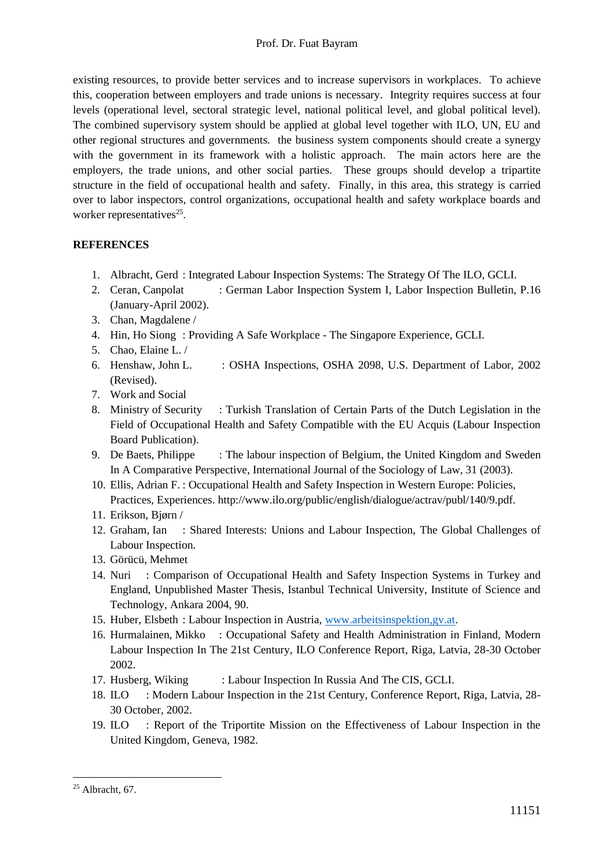existing resources, to provide better services and to increase supervisors in workplaces. To achieve this, cooperation between employers and trade unions is necessary. Integrity requires success at four levels (operational level, sectoral strategic level, national political level, and global political level). The combined supervisory system should be applied at global level together with ILO, UN, EU and other regional structures and governments. the business system components should create a synergy with the government in its framework with a holistic approach. The main actors here are the employers, the trade unions, and other social parties. These groups should develop a tripartite structure in the field of occupational health and safety. Finally, in this area, this strategy is carried over to labor inspectors, control organizations, occupational health and safety workplace boards and worker representatives<sup>25</sup>.

# **REFERENCES**

- 1. Albracht, Gerd : Integrated Labour Inspection Systems: The Strategy Of The ILO, GCLI.
- 2. Ceran, Canpolat : German Labor Inspection System I, Labor Inspection Bulletin, P.16 (January-April 2002).
- 3. Chan, Magdalene /
- 4. Hin, Ho Siong : Providing A Safe Workplace The Singapore Experience, GCLI.
- 5. Chao, Elaine L. /
- 6. Henshaw, John L. : OSHA Inspections, OSHA 2098, U.S. Department of Labor, 2002 (Revised).
- 7. Work and Social
- 8. Ministry of Security : Turkish Translation of Certain Parts of the Dutch Legislation in the Field of Occupational Health and Safety Compatible with the EU Acquis (Labour Inspection Board Publication).
- 9. De Baets, Philippe : The labour inspection of Belgium, the United Kingdom and Sweden In A Comparative Perspective, International Journal of the Sociology of Law, 31 (2003).
- 10. Ellis, Adrian F. : Occupational Health and Safety Inspection in Western Europe: Policies, Practices, Experiences. http://www.ilo.org/public/english/dialogue/actrav/publ/140/9.pdf.
- 11. Erikson, Bjørn /
- 12. Graham, Ian : Shared Interests: Unions and Labour Inspection, The Global Challenges of Labour Inspection.
- 13. Görücü, Mehmet
- 14. Nuri : Comparison of Occupational Health and Safety Inspection Systems in Turkey and England, Unpublished Master Thesis, Istanbul Technical University, Institute of Science and Technology, Ankara 2004, 90.
- 15. Huber, Elsbeth : Labour Inspection in Austria, [www.arbeitsinspektion,gv.at.](http://www.arbeitsinspektion,gv.at/)
- 16. Hurmalainen, Mikko : Occupational Safety and Health Administration in Finland, Modern Labour Inspection In The 21st Century, ILO Conference Report, Riga, Latvia, 28-30 October 2002.
- 17. Husberg, Wiking : Labour Inspection In Russia And The CIS, GCLI.
- 18. ILO : Modern Labour Inspection in the 21st Century, Conference Report, Riga, Latvia, 28-30 October, 2002.
- 19. ILO : Report of the Triportite Mission on the Effectiveness of Labour Inspection in the United Kingdom, Geneva, 1982.

 $25$  Albracht, 67.